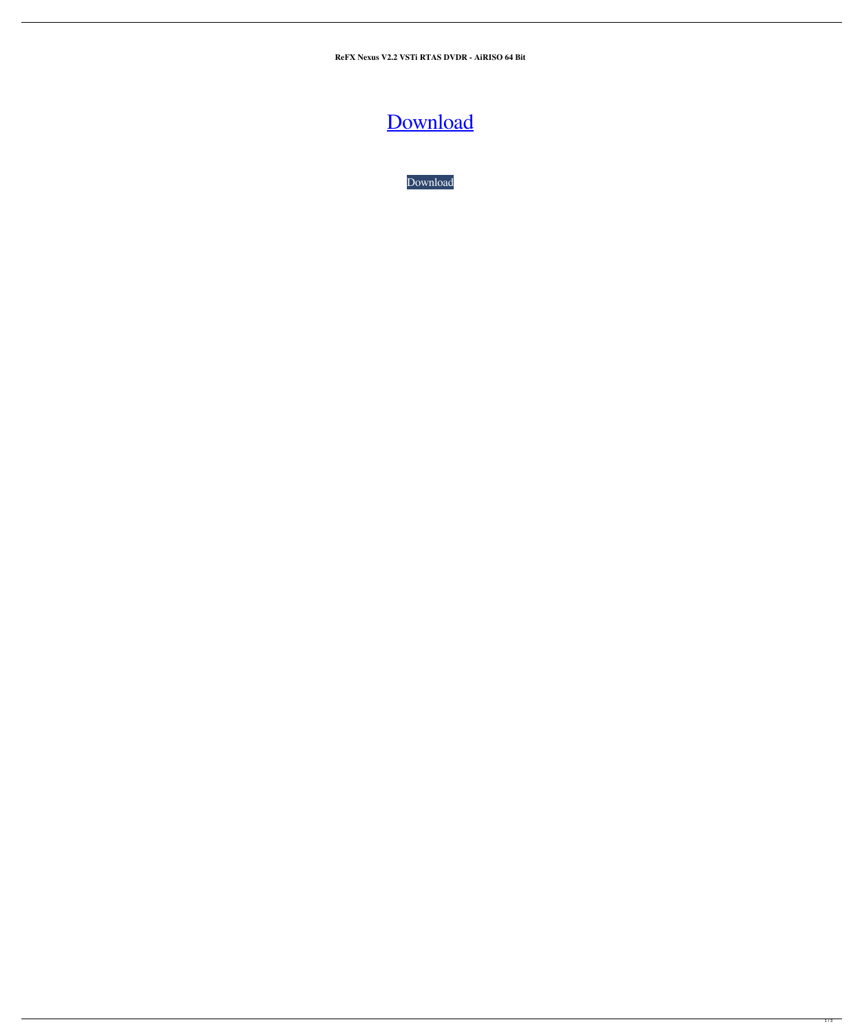**ReFX Nexus V2.2 VSTi RTAS DVDR - AiRISO 64 Bit**

## [Download](http://evacdir.com/felons?alginic=UmVGWCBOZXh1cyB2Mi4yIFZTVGkgUlRBUyBEVkRSIC0gQWlSSVNPIDY0IGJpdAUmV.ZG93bmxvYWR8WGwyTVRscWVYeDhNVFkxTWpRMk16QTFNSHg4TWpVM05IeDhLRTBwSUhKbFlXUXRZbXh2WnlCYlJtRnpkQ0JIUlU1ZA&corcovado=cante&juliette=sovereign)

[Download](http://evacdir.com/felons?alginic=UmVGWCBOZXh1cyB2Mi4yIFZTVGkgUlRBUyBEVkRSIC0gQWlSSVNPIDY0IGJpdAUmV.ZG93bmxvYWR8WGwyTVRscWVYeDhNVFkxTWpRMk16QTFNSHg4TWpVM05IeDhLRTBwSUhKbFlXUXRZbXh2WnlCYlJtRnpkQ0JIUlU1ZA&corcovado=cante&juliette=sovereign)

 $\overline{1/3}$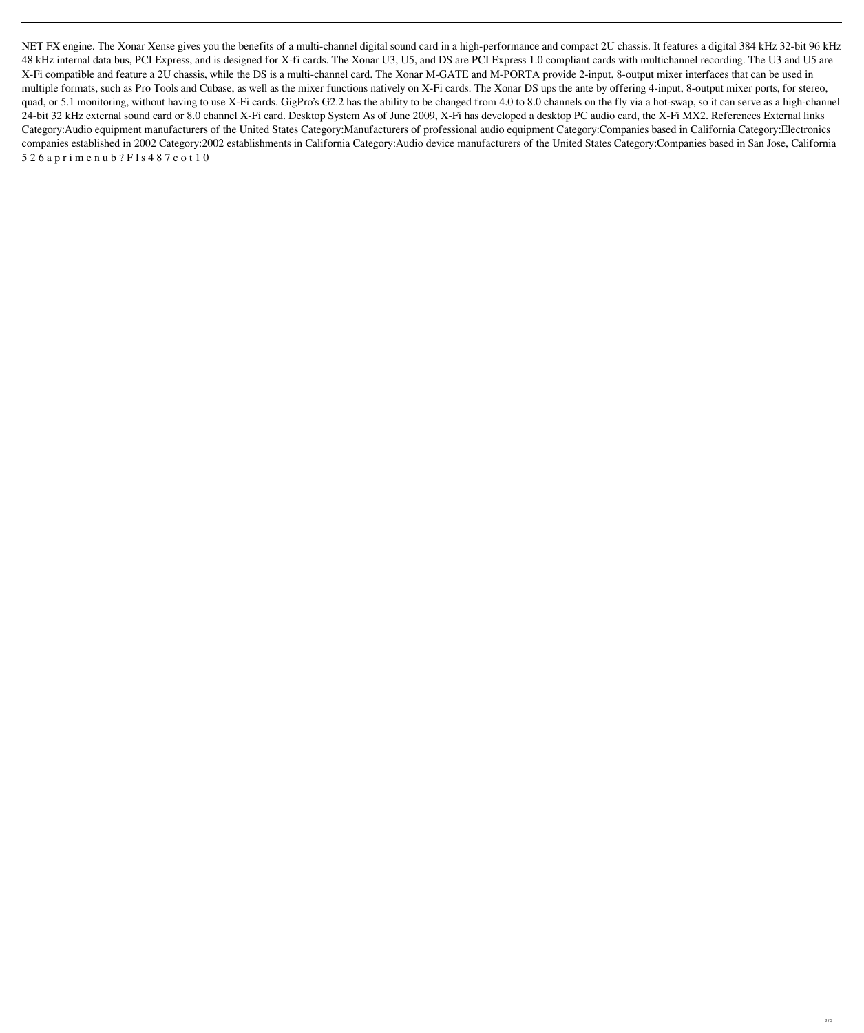NET FX engine. The Xonar Xense gives you the benefits of a multi-channel digital sound card in a high-performance and compact 2U chassis. It features a digital 384 kHz 32-bit 96 kHz 48 kHz internal data bus, PCI Express, and is designed for X-fi cards. The Xonar U3, U5, and DS are PCI Express 1.0 compliant cards with multichannel recording. The U3 and U5 are X-Fi compatible and feature a 2U chassis, while the DS is a multi-channel card. The Xonar M-GATE and M-PORTA provide 2-input, 8-output mixer interfaces that can be used in multiple formats, such as Pro Tools and Cubase, as well as the mixer functions natively on X-Fi cards. The Xonar DS ups the ante by offering 4-input, 8-output mixer ports, for stereo, quad, or 5.1 monitoring, without having to use X-Fi cards. GigPro's G2.2 has the ability to be changed from 4.0 to 8.0 channels on the fly via a hot-swap, so it can serve as a high-channel 24-bit 32 kHz external sound card or 8.0 channel X-Fi card. Desktop System As of June 2009, X-Fi has developed a desktop PC audio card, the X-Fi MX2. References External links Category:Audio equipment manufacturers of the United States Category:Manufacturers of professional audio equipment Category:Companies based in California Category:Electronics companies established in 2002 Category:2002 establishments in California Category:Audio device manufacturers of the United States Category:Companies based in San Jose, California 5 2 6 a p r i m e n u b ? F l s 4 8 7 c o t 1 0